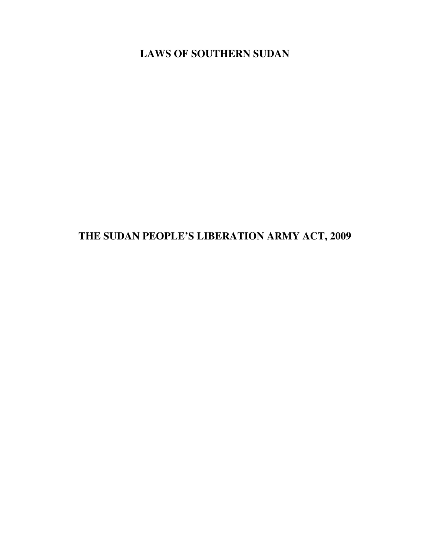LAWS OF SOUTHERN SUDAN

THE SUDAN PEOPLE'S LIBERATION ARMY ACT, 2009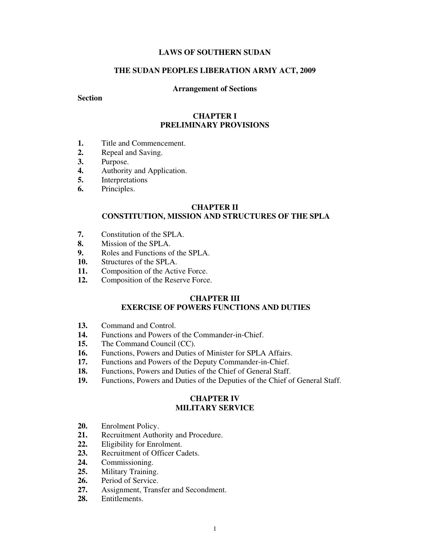# LAWS OF SOUTHERN SUDAN

### THE SUDAN PEOPLES LIBERATION ARMY ACT, 2009

#### Arrangement of Sections

### **Section**

### CHAPTER I PRELIMINARY PROVISIONS

- 1. Title and Commencement.
- 2. Repeal and Saving.
- 3. Purpose.
- 4. Authority and Application.
- 5. Interpretations
- 6. Principles.

#### CHAPTER II

# CONSTITUTION, MISSION AND STRUCTURES OF THE SPLA

- 7. Constitution of the SPLA.
- 8. Mission of the SPLA.
- 9. Roles and Functions of the SPLA.
- 10. Structures of the SPLA.
- 11. Composition of the Active Force.
- 12. Composition of the Reserve Force.

## CHAPTER III

## EXERCISE OF POWERS FUNCTIONS AND DUTIES

- 13. Command and Control.
- 14. Functions and Powers of the Commander-in-Chief.
- 15. The Command Council (CC).
- 16. Functions, Powers and Duties of Minister for SPLA Affairs.
- 17. Functions and Powers of the Deputy Commander-in-Chief.
- 18. Functions, Powers and Duties of the Chief of General Staff.
- 19. Functions, Powers and Duties of the Deputies of the Chief of General Staff.

# CHAPTER IV MILITARY SERVICE

- 20. Enrolment Policy.
- 21. Recruitment Authority and Procedure.
- 22. Eligibility for Enrolment.
- 23. Recruitment of Officer Cadets.
- 24. Commissioning.
- 25. Military Training.
- 26. Period of Service.
- 27. Assignment, Transfer and Secondment.
- 28. Entitlements.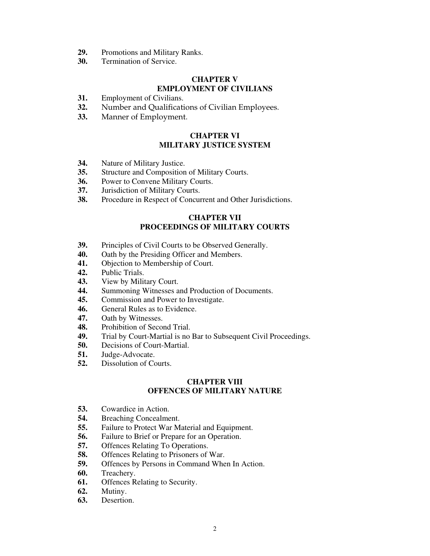- 29. Promotions and Military Ranks.
- 30. Termination of Service.

### CHAPTER V EMPLOYMENT OF CIVILIANS

- 31. Employment of Civilians.
- 32. Number and Qualifications of Civilian Employees.
- 33. Manner of Employment.

# CHAPTER VI MILITARY JUSTICE SYSTEM

- 34. Nature of Military Justice.
- 35. Structure and Composition of Military Courts.
- 36. Power to Convene Military Courts.
- 37. Jurisdiction of Military Courts.
- 38. Procedure in Respect of Concurrent and Other Jurisdictions.

# CHAPTER VII PROCEEDINGS OF MILITARY COURTS

- 39. Principles of Civil Courts to be Observed Generally.
- 40. Oath by the Presiding Officer and Members.
- 41. Objection to Membership of Court.
- 42. Public Trials.
- 43. View by Military Court.
- 44. Summoning Witnesses and Production of Documents.
- 45. Commission and Power to Investigate.
- 46. General Rules as to Evidence.
- 47. Oath by Witnesses.
- 48. Prohibition of Second Trial.<br>49. Trial by Court-Martial is no
- Trial by Court-Martial is no Bar to Subsequent Civil Proceedings.
- 50. Decisions of Court-Martial.
- 51. Judge-Advocate.
- 52. Dissolution of Courts.

# CHAPTER VIII OFFENCES OF MILITARY NATURE

- 53. Cowardice in Action.
- 54. Breaching Concealment.
- 55. Failure to Protect War Material and Equipment.
- 56. Failure to Brief or Prepare for an Operation.
- 57. Offences Relating To Operations.
- 58. Offences Relating to Prisoners of War.
- 59. Offences by Persons in Command When In Action.
- 60. Treachery.
- 61. Offences Relating to Security.
- 62. Mutiny.
- 63. Desertion.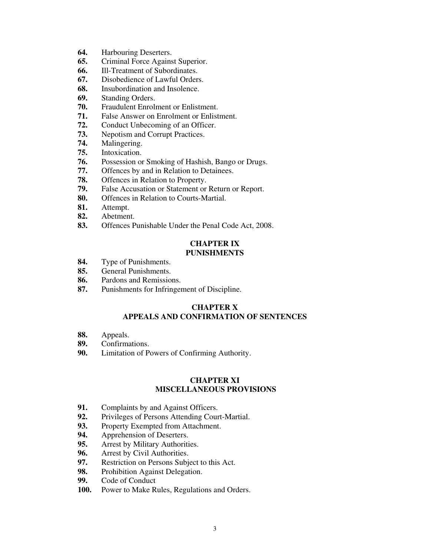- 64. Harbouring Deserters.
- 65. Criminal Force Against Superior.
- 66. Ill-Treatment of Subordinates.
- 67. Disobedience of Lawful Orders.
- 68. Insubordination and Insolence.
- 69. Standing Orders.
- 70. Fraudulent Enrolment or Enlistment.
- 71. False Answer on Enrolment or Enlistment.
- 72. Conduct Unbecoming of an Officer.
- 73. Nepotism and Corrupt Practices.
- 74. Malingering.
- 75. Intoxication.
- 76. Possession or Smoking of Hashish, Bango or Drugs.
- 77. Offences by and in Relation to Detainees.
- 78. Offences in Relation to Property.
- 79. False Accusation or Statement or Return or Report.
- 80. Offences in Relation to Courts-Martial.
- 81. Attempt.<br>82. Abetmen
- Abetment.
- 83. Offences Punishable Under the Penal Code Act, 2008.

# CHAPTER IX PUNISHMENTS

- 84. Type of Punishments.
- 85. General Punishments.
- 86. Pardons and Remissions.
- 87. Punishments for Infringement of Discipline.

# CHAPTER X APPEALS AND CONFIRMATION OF SENTENCES

- 88. Appeals.<br>89. Confirma
- Confirmations.
- 90. Limitation of Powers of Confirming Authority.

# CHAPTER XI MISCELLANEOUS PROVISIONS

- 91. Complaints by and Against Officers.
- 92. Privileges of Persons Attending Court-Martial.<br>93. Property Exempted from Attachment.
- Property Exempted from Attachment.
- 94. Apprehension of Deserters.
- 95. Arrest by Military Authorities.
- 96. Arrest by Civil Authorities.
- 97. Restriction on Persons Subject to this Act.
- 98. Prohibition Against Delegation.
- 99. Code of Conduct
- 100. Power to Make Rules, Regulations and Orders.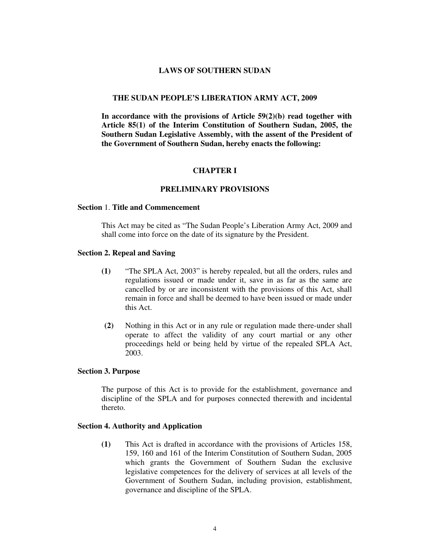#### LAWS OF SOUTHERN SUDAN

#### THE SUDAN PEOPLE'S LIBERATION ARMY ACT, 2009

In accordance with the provisions of Article  $59(2)(b)$  read together with Article 85(1) of the Interim Constitution of Southern Sudan, 2005, the Southern Sudan Legislative Assembly, with the assent of the President of the Government of Southern Sudan, hereby enacts the following:

#### CHAPTER I

### PRELIMINARY PROVISIONS

#### Section 1. Title and Commencement

This Act may be cited as "The Sudan People's Liberation Army Act, 2009 and shall come into force on the date of its signature by the President.

#### Section 2. Repeal and Saving

- (1) "The SPLA Act, 2003" is hereby repealed, but all the orders, rules and regulations issued or made under it, save in as far as the same are cancelled by or are inconsistent with the provisions of this Act, shall remain in force and shall be deemed to have been issued or made under this Act.
- (2) Nothing in this Act or in any rule or regulation made there-under shall operate to affect the validity of any court martial or any other proceedings held or being held by virtue of the repealed SPLA Act, 2003.

#### Section 3. Purpose

The purpose of this Act is to provide for the establishment, governance and discipline of the SPLA and for purposes connected therewith and incidental thereto.

#### Section 4. Authority and Application

(1) This Act is drafted in accordance with the provisions of Articles 158, 159, 160 and 161 of the Interim Constitution of Southern Sudan, 2005 which grants the Government of Southern Sudan the exclusive legislative competences for the delivery of services at all levels of the Government of Southern Sudan, including provision, establishment, governance and discipline of the SPLA.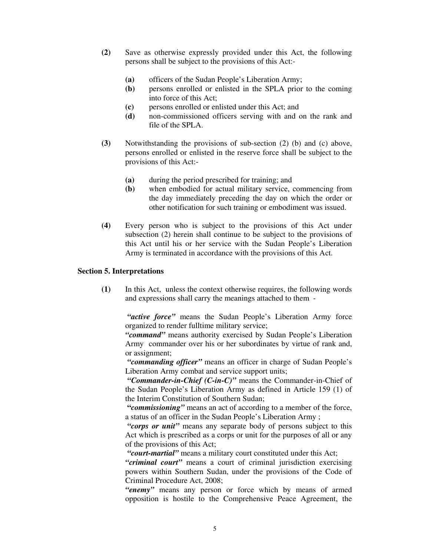- (2) Save as otherwise expressly provided under this Act, the following persons shall be subject to the provisions of this Act:-
	- (a) officers of the Sudan People's Liberation Army;
	- (b) persons enrolled or enlisted in the SPLA prior to the coming into force of this Act;
	- (c) persons enrolled or enlisted under this Act; and
	- (d) non-commissioned officers serving with and on the rank and file of the SPLA.
- (3) Notwithstanding the provisions of sub-section (2) (b) and (c) above, persons enrolled or enlisted in the reserve force shall be subject to the provisions of this Act:-
	- (a) during the period prescribed for training; and
	- (b) when embodied for actual military service, commencing from the day immediately preceding the day on which the order or other notification for such training or embodiment was issued.
- (4) Every person who is subject to the provisions of this Act under subsection (2) herein shall continue to be subject to the provisions of this Act until his or her service with the Sudan People's Liberation Army is terminated in accordance with the provisions of this Act.

### Section 5. Interpretations

(1) In this Act, unless the context otherwise requires, the following words and expressions shall carry the meanings attached to them -

"active force" means the Sudan People's Liberation Army force organized to render fulltime military service;

"command" means authority exercised by Sudan People's Liberation Army commander over his or her subordinates by virtue of rank and, or assignment;

"commanding officer" means an officer in charge of Sudan People's Liberation Army combat and service support units;

"Commander-in-Chief (C-in-C)" means the Commander-in-Chief of the Sudan People's Liberation Army as defined in Article 159 (1) of the Interim Constitution of Southern Sudan;

"commissioning" means an act of according to a member of the force, a status of an officer in the Sudan People's Liberation Army ;

"corps or unit" means any separate body of persons subject to this Act which is prescribed as a corps or unit for the purposes of all or any of the provisions of this Act;

"court-martial" means a military court constituted under this Act;

"criminal court" means a court of criminal jurisdiction exercising powers within Southern Sudan, under the provisions of the Code of Criminal Procedure Act, 2008;

"enemy" means any person or force which by means of armed opposition is hostile to the Comprehensive Peace Agreement, the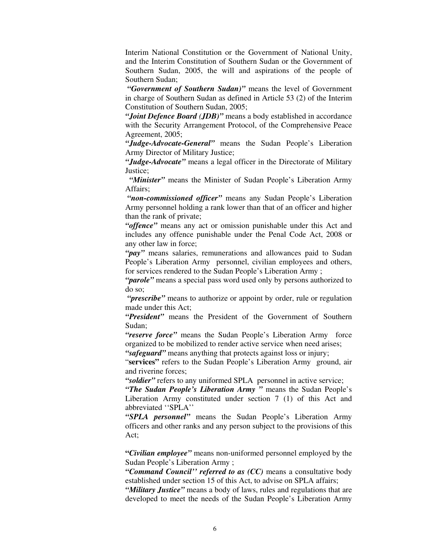Interim National Constitution or the Government of National Unity, and the Interim Constitution of Southern Sudan or the Government of Southern Sudan, 2005, the will and aspirations of the people of Southern Sudan;

"Government of Southern Sudan)" means the level of Government in charge of Southern Sudan as defined in Article 53 (2) of the Interim Constitution of Southern Sudan, 2005;

"Joint Defence Board (JDB)" means a body established in accordance with the Security Arrangement Protocol, of the Comprehensive Peace Agreement, 2005;

"Judge-Advocate-General" means the Sudan People's Liberation Army Director of Military Justice;

"Judge-Advocate" means a legal officer in the Directorate of Military Justice;

"Minister" means the Minister of Sudan People's Liberation Army Affairs;

"non-commissioned officer" means any Sudan People's Liberation Army personnel holding a rank lower than that of an officer and higher than the rank of private;

"offence" means any act or omission punishable under this Act and includes any offence punishable under the Penal Code Act, 2008 or any other law in force;

"*pay*" means salaries, remunerations and allowances paid to Sudan People's Liberation Army personnel, civilian employees and others, for services rendered to the Sudan People's Liberation Army ;

"*parole*" means a special pass word used only by persons authorized to do so;

"*prescribe*" means to authorize or appoint by order, rule or regulation made under this Act;

"President" means the President of the Government of Southern Sudan;

"reserve force" means the Sudan People's Liberation Army force organized to be mobilized to render active service when need arises;

"safeguard" means anything that protects against loss or injury;

"services" refers to the Sudan People's Liberation Army ground, air and riverine forces;

"soldier" refers to any uniformed SPLA personnel in active service;

"The Sudan People's Liberation Army" means the Sudan People's Liberation Army constituted under section 7 (1) of this Act and abbreviated ''SPLA''

"SPLA personnel" means the Sudan People's Liberation Army officers and other ranks and any person subject to the provisions of this Act;

"Civilian employee" means non-uniformed personnel employed by the Sudan People's Liberation Army ;

"Command Council" referred to as  $(CC)$  means a consultative body established under section 15 of this Act, to advise on SPLA affairs;

"Military Justice" means a body of laws, rules and regulations that are developed to meet the needs of the Sudan People's Liberation Army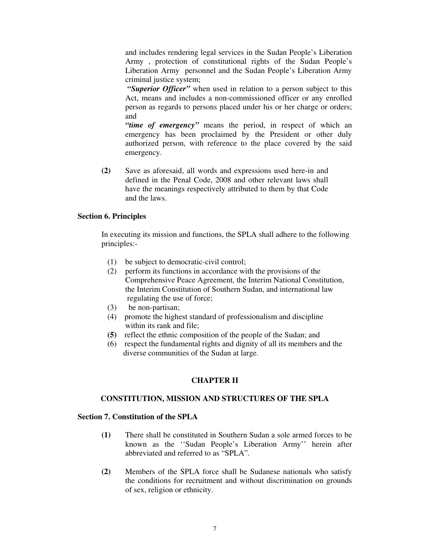and includes rendering legal services in the Sudan People's Liberation Army , protection of constitutional rights of the Sudan People's Liberation Army personnel and the Sudan People's Liberation Army criminal justice system;

"Superior Officer" when used in relation to a person subject to this Act, means and includes a non-commissioned officer or any enrolled person as regards to persons placed under his or her charge or orders; and

"time of emergency" means the period, in respect of which an emergency has been proclaimed by the President or other duly authorized person, with reference to the place covered by the said emergency.

(2) Save as aforesaid, all words and expressions used here-in and defined in the Penal Code, 2008 and other relevant laws shall have the meanings respectively attributed to them by that Code and the laws.

### Section 6. Principles

In executing its mission and functions, the SPLA shall adhere to the following principles:-

- (1) be subject to democratic-civil control;
- (2) perform its functions in accordance with the provisions of the Comprehensive Peace Agreement, the Interim National Constitution, the Interim Constitution of Southern Sudan, and international law regulating the use of force;
- (3) be non-partisan;
- (4) promote the highest standard of professionalism and discipline within its rank and file;
- (5) reflect the ethnic composition of the people of the Sudan; and
- (6) respect the fundamental rights and dignity of all its members and the diverse communities of the Sudan at large.

## CHAPTER II

#### CONSTITUTION, MISSION AND STRUCTURES OF THE SPLA

### Section 7. Constitution of the SPLA

- (1) There shall be constituted in Southern Sudan a sole armed forces to be known as the ''Sudan People's Liberation Army'' herein after abbreviated and referred to as "SPLA".
- (2) Members of the SPLA force shall be Sudanese nationals who satisfy the conditions for recruitment and without discrimination on grounds of sex, religion or ethnicity.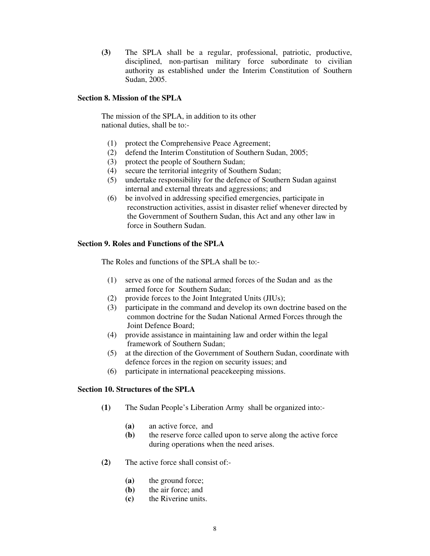(3) The SPLA shall be a regular, professional, patriotic, productive, disciplined, non-partisan military force subordinate to civilian authority as established under the Interim Constitution of Southern Sudan, 2005.

### Section 8. Mission of the SPLA

The mission of the SPLA, in addition to its other national duties, shall be to:-

- (1) protect the Comprehensive Peace Agreement;
- (2) defend the Interim Constitution of Southern Sudan, 2005;
- (3) protect the people of Southern Sudan;
- (4) secure the territorial integrity of Southern Sudan;
- (5) undertake responsibility for the defence of Southern Sudan against internal and external threats and aggressions; and
- (6) be involved in addressing specified emergencies, participate in reconstruction activities, assist in disaster relief whenever directed by the Government of Southern Sudan, this Act and any other law in force in Southern Sudan.

# Section 9. Roles and Functions of the SPLA

The Roles and functions of the SPLA shall be to:-

- (1) serve as one of the national armed forces of the Sudan and as the armed force for Southern Sudan;
- (2) provide forces to the Joint Integrated Units (JIUs);
- (3) participate in the command and develop its own doctrine based on the common doctrine for the Sudan National Armed Forces through the Joint Defence Board;
- (4) provide assistance in maintaining law and order within the legal framework of Southern Sudan;
- (5) at the direction of the Government of Southern Sudan, coordinate with defence forces in the region on security issues; and
- (6) participate in international peacekeeping missions.

## Section 10. Structures of the SPLA

- (1) The Sudan People's Liberation Army shall be organized into:-
	- (a) an active force, and
	- (b) the reserve force called upon to serve along the active force during operations when the need arises.
- (2) The active force shall consist of:-
	- (a) the ground force;
	- (b) the air force; and
	- (c) the Riverine units.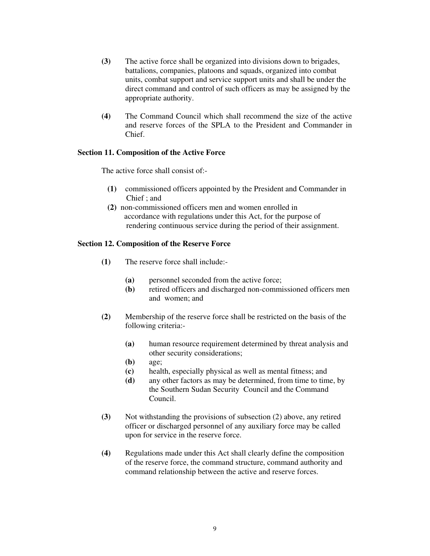- (3) The active force shall be organized into divisions down to brigades, battalions, companies, platoons and squads, organized into combat units, combat support and service support units and shall be under the direct command and control of such officers as may be assigned by the appropriate authority.
- (4) The Command Council which shall recommend the size of the active and reserve forces of the SPLA to the President and Commander in Chief.

## Section 11. Composition of the Active Force

The active force shall consist of:-

- (1) commissioned officers appointed by the President and Commander in Chief ; and
- (2) non-commissioned officers men and women enrolled in accordance with regulations under this Act, for the purpose of rendering continuous service during the period of their assignment.

## Section 12. Composition of the Reserve Force

- (1) The reserve force shall include:-
	- (a) personnel seconded from the active force;
	- (b) retired officers and discharged non-commissioned officers men and women; and
- (2) Membership of the reserve force shall be restricted on the basis of the following criteria:-
	- (a) human resource requirement determined by threat analysis and other security considerations;
	- (b) age;
	- (c) health, especially physical as well as mental fitness; and
	- (d) any other factors as may be determined, from time to time, by the Southern Sudan Security Council and the Command Council.
- (3) Not withstanding the provisions of subsection (2) above, any retired officer or discharged personnel of any auxiliary force may be called upon for service in the reserve force.
- (4) Regulations made under this Act shall clearly define the composition of the reserve force, the command structure, command authority and command relationship between the active and reserve forces.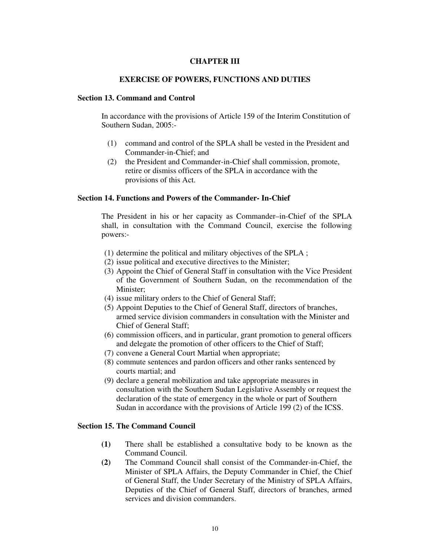## CHAPTER III

#### EXERCISE OF POWERS, FUNCTIONS AND DUTIES

### Section 13. Command and Control

In accordance with the provisions of Article 159 of the Interim Constitution of Southern Sudan, 2005:-

- (1) command and control of the SPLA shall be vested in the President and Commander-in-Chief; and
- (2) the President and Commander-in-Chief shall commission, promote, retire or dismiss officers of the SPLA in accordance with the provisions of this Act.

#### Section 14. Functions and Powers of the Commander- In-Chief

The President in his or her capacity as Commander–in-Chief of the SPLA shall, in consultation with the Command Council, exercise the following powers:-

- (1) determine the political and military objectives of the SPLA ;
- (2) issue political and executive directives to the Minister;
- (3) Appoint the Chief of General Staff in consultation with the Vice President of the Government of Southern Sudan, on the recommendation of the Minister;
- (4) issue military orders to the Chief of General Staff;
- (5) Appoint Deputies to the Chief of General Staff, directors of branches, armed service division commanders in consultation with the Minister and Chief of General Staff;
- (6) commission officers, and in particular, grant promotion to general officers and delegate the promotion of other officers to the Chief of Staff;
- (7) convene a General Court Martial when appropriate;
- (8) commute sentences and pardon officers and other ranks sentenced by courts martial; and
- (9) declare a general mobilization and take appropriate measures in consultation with the Southern Sudan Legislative Assembly or request the declaration of the state of emergency in the whole or part of Southern Sudan in accordance with the provisions of Article 199 (2) of the ICSS.

### Section 15. The Command Council

- (1) There shall be established a consultative body to be known as the Command Council.
- (2) The Command Council shall consist of the Commander-in-Chief, the Minister of SPLA Affairs, the Deputy Commander in Chief, the Chief of General Staff, the Under Secretary of the Ministry of SPLA Affairs, Deputies of the Chief of General Staff, directors of branches, armed services and division commanders.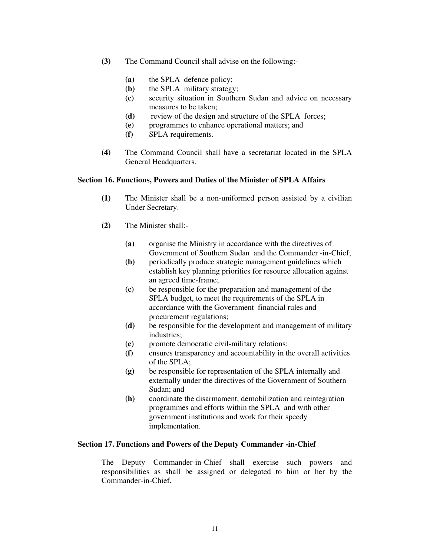- (3) The Command Council shall advise on the following:-
	- (a) the SPLA defence policy;
	- (b) the SPLA military strategy;
	- (c) security situation in Southern Sudan and advice on necessary measures to be taken;
	- (d) review of the design and structure of the SPLA forces;
	- (e) programmes to enhance operational matters; and
	- (f) SPLA requirements.
- (4) The Command Council shall have a secretariat located in the SPLA General Headquarters.

#### Section 16. Functions, Powers and Duties of the Minister of SPLA Affairs

- (1) The Minister shall be a non-uniformed person assisted by a civilian Under Secretary.
- (2) The Minister shall:-
	- (a) organise the Ministry in accordance with the directives of Government of Southern Sudan and the Commander -in-Chief;
	- (b) periodically produce strategic management guidelines which establish key planning priorities for resource allocation against an agreed time-frame;
	- (c) be responsible for the preparation and management of the SPLA budget, to meet the requirements of the SPLA in accordance with the Government financial rules and procurement regulations;
	- (d) be responsible for the development and management of military industries;
	- (e) promote democratic civil-military relations;
	- (f) ensures transparency and accountability in the overall activities of the SPLA;
	- (g) be responsible for representation of the SPLA internally and externally under the directives of the Government of Southern Sudan; and
	- (h) coordinate the disarmament, demobilization and reintegration programmes and efforts within the SPLA and with other government institutions and work for their speedy implementation.

#### Section 17. Functions and Powers of the Deputy Commander -in-Chief

The Deputy Commander-in-Chief shall exercise such powers and responsibilities as shall be assigned or delegated to him or her by the Commander-in-Chief.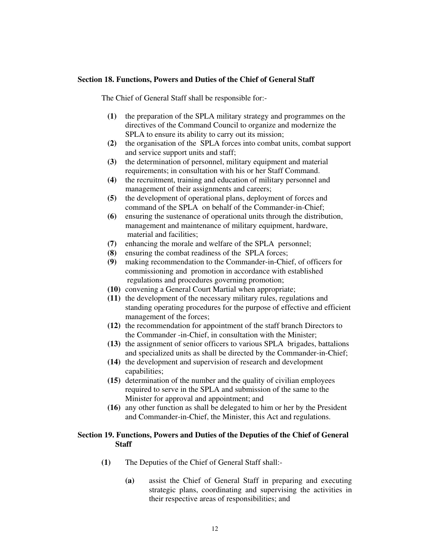#### Section 18. Functions, Powers and Duties of the Chief of General Staff

The Chief of General Staff shall be responsible for:-

- (1) the preparation of the SPLA military strategy and programmes on the directives of the Command Council to organize and modernize the SPLA to ensure its ability to carry out its mission;
- (2) the organisation of the SPLA forces into combat units, combat support and service support units and staff;
- (3) the determination of personnel, military equipment and material requirements; in consultation with his or her Staff Command.
- (4) the recruitment, training and education of military personnel and management of their assignments and careers;
- (5) the development of operational plans, deployment of forces and command of the SPLA on behalf of the Commander-in-Chief;
- (6) ensuring the sustenance of operational units through the distribution, management and maintenance of military equipment, hardware, material and facilities;
- (7) enhancing the morale and welfare of the SPLA personnel;
- (8) ensuring the combat readiness of the SPLA forces;
- (9) making recommendation to the Commander-in-Chief, of officers for commissioning and promotion in accordance with established regulations and procedures governing promotion;
- (10) convening a General Court Martial when appropriate;
- (11) the development of the necessary military rules, regulations and standing operating procedures for the purpose of effective and efficient management of the forces;
- (12) the recommendation for appointment of the staff branch Directors to the Commander -in-Chief, in consultation with the Minister;
- (13) the assignment of senior officers to various SPLA brigades, battalions and specialized units as shall be directed by the Commander-in-Chief;
- (14) the development and supervision of research and development capabilities;
- (15) determination of the number and the quality of civilian employees required to serve in the SPLA and submission of the same to the Minister for approval and appointment; and
- (16) any other function as shall be delegated to him or her by the President and Commander-in-Chief, the Minister, this Act and regulations.

### Section 19. Functions, Powers and Duties of the Deputies of the Chief of General **Staff**

- (1) The Deputies of the Chief of General Staff shall:-
	- (a) assist the Chief of General Staff in preparing and executing strategic plans, coordinating and supervising the activities in their respective areas of responsibilities; and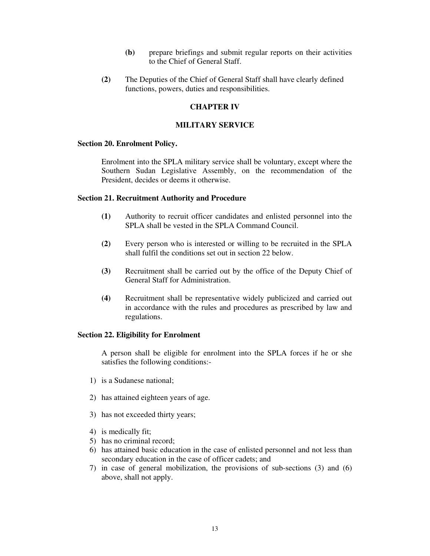- (b) prepare briefings and submit regular reports on their activities to the Chief of General Staff.
- (2) The Deputies of the Chief of General Staff shall have clearly defined functions, powers, duties and responsibilities.

## CHAPTER IV

### MILITARY SERVICE

#### Section 20. Enrolment Policy.

Enrolment into the SPLA military service shall be voluntary, except where the Southern Sudan Legislative Assembly, on the recommendation of the President, decides or deems it otherwise.

#### Section 21. Recruitment Authority and Procedure

- (1) Authority to recruit officer candidates and enlisted personnel into the SPLA shall be vested in the SPLA Command Council.
- (2) Every person who is interested or willing to be recruited in the SPLA shall fulfil the conditions set out in section 22 below.
- (3) Recruitment shall be carried out by the office of the Deputy Chief of General Staff for Administration.
- (4) Recruitment shall be representative widely publicized and carried out in accordance with the rules and procedures as prescribed by law and regulations.

#### Section 22. Eligibility for Enrolment

A person shall be eligible for enrolment into the SPLA forces if he or she satisfies the following conditions:-

- 1) is a Sudanese national;
- 2) has attained eighteen years of age.
- 3) has not exceeded thirty years;
- 4) is medically fit;
- 5) has no criminal record;
- 6) has attained basic education in the case of enlisted personnel and not less than secondary education in the case of officer cadets; and
- 7) in case of general mobilization, the provisions of sub-sections (3) and (6) above, shall not apply.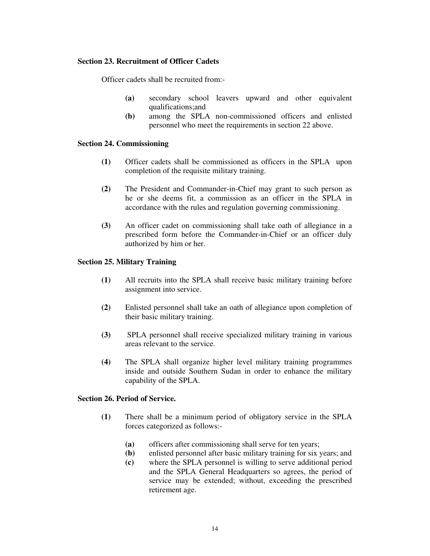# Section 23. Recruitment of Officer Cadets

Officer cadets shall be recruited from:-

- (a) secondary school leavers upward and other equivalent qualifications;and
- (b) among the SPLA non-commissioned officers and enlisted personnel who meet the requirements in section 22 above.

# Section 24. Commissioning

- (1) Officer cadets shall be commissioned as officers in the SPLA upon completion of the requisite military training.
- (2) The President and Commander-in-Chief may grant to such person as he or she deems fit, a commission as an officer in the SPLA in accordance with the rules and regulation governing commissioning.
- (3) An officer cadet on commissioning shall take oath of allegiance in a prescribed form before the Commander-in-Chief or an officer duly authorized by him or her.

## Section 25. Military Training

- (1) All recruits into the SPLA shall receive basic military training before assignment into service.
- (2) Enlisted personnel shall take an oath of allegiance upon completion of their basic military training.
- (3) SPLA personnel shall receive specialized military training in various areas relevant to the service.
- (4) The SPLA shall organize higher level military training programmes inside and outside Southern Sudan in order to enhance the military capability of the SPLA.

### Section 26. Period of Service.

- (1) There shall be a minimum period of obligatory service in the SPLA forces categorized as follows:-
	- (a) officers after commissioning shall serve for ten years;
	- (b) enlisted personnel after basic military training for six years; and
	- (c) where the SPLA personnel is willing to serve additional period and the SPLA General Headquarters so agrees, the period of service may be extended; without, exceeding the prescribed retirement age.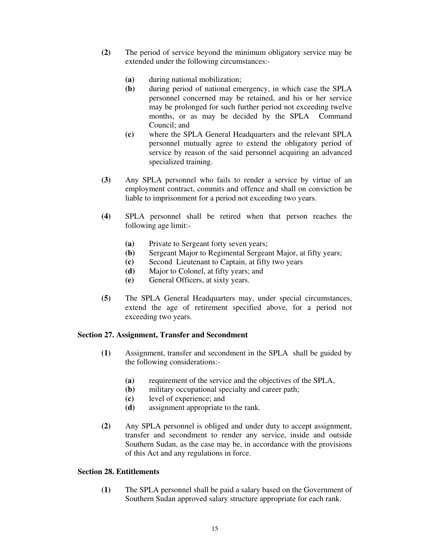- (2) The period of service beyond the minimum obligatory service may be extended under the following circumstances:-
	- (a) during national mobilization;
	- (b) during period of national emergency, in which case the SPLA personnel concerned may be retained, and his or her service may be prolonged for such further period not exceeding twelve months, or as may be decided by the SPLA Command Council; and
	- (c) where the SPLA General Headquarters and the relevant SPLA personnel mutually agree to extend the obligatory period of service by reason of the said personnel acquiring an advanced specialized training.
- (3) Any SPLA personnel who fails to render a service by virtue of an employment contract, commits and offence and shall on conviction be liable to imprisonment for a period not exceeding two years.
- (4) SPLA personnel shall be retired when that person reaches the following age limit:-
	- (a) Private to Sergeant forty seven years;
	- (b) Sergeant Major to Regimental Sergeant Major, at fifty years;
	- (c) Second Lieutenant to Captain, at fifty two years
	- (d) Major to Colonel, at fifty years; and
	- (e) General Officers, at sixty years.
- (5) The SPLA General Headquarters may, under special circumstances, extend the age of retirement specified above, for a period not exceeding two years.

#### Section 27. Assignment, Transfer and Secondment

- (1) Assignment, transfer and secondment in the SPLA shall be guided by the following considerations:-
	- (a) requirement of the service and the objectives of the SPLA,
	- (b) military occupational specialty and career path;
	- (c) level of experience; and
	- (d) assignment appropriate to the rank.
- (2) Any SPLA personnel is obliged and under duty to accept assignment, transfer and secondment to render any service, inside and outside Southern Sudan, as the case may be, in accordance with the provisions of this Act and any regulations in force.

## Section 28. Entitlements

(1) The SPLA personnel shall be paid a salary based on the Government of Southern Sudan approved salary structure appropriate for each rank.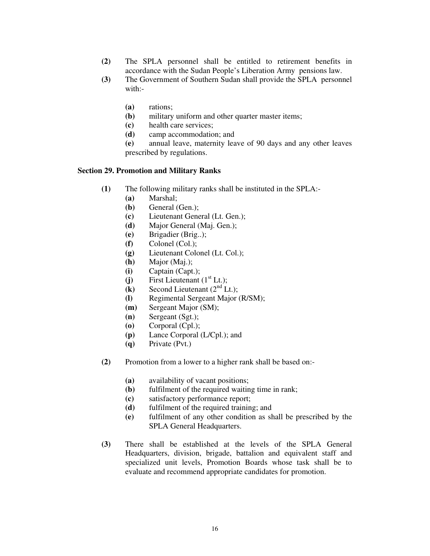- (2) The SPLA personnel shall be entitled to retirement benefits in accordance with the Sudan People's Liberation Army pensions law.
- (3) The Government of Southern Sudan shall provide the SPLA personnel with:-
	- (a) rations;
	- (b) military uniform and other quarter master items;
	- (c) health care services;
	- (d) camp accommodation; and
	- (e) annual leave, maternity leave of 90 days and any other leaves prescribed by regulations.

#### Section 29. Promotion and Military Ranks

- (1) The following military ranks shall be instituted in the SPLA:-
	- (a) Marshal;
	- (b) General (Gen.);
	- (c) Lieutenant General (Lt. Gen.);
	- (d) Major General (Maj. Gen.);
	- (e) Brigadier (Brig..);
	- (f) Colonel (Col.);
	- (g) Lieutenant Colonel (Lt. Col.);
	- (h) Major (Maj.);
	- (i) Captain (Capt.);
	- (j) First Lieutenant  $(1<sup>st</sup> Lt.);$
	- (k) Second Lieutenant  $(2<sup>nd</sup> Lt.);$
	- (l) Regimental Sergeant Major (R/SM);
	- (m) Sergeant Major (SM);
	- (n) Sergeant (Sgt.);
	- (o) Corporal (Cpl.);
	- (p) Lance Corporal (L/Cpl.); and
	- (q) Private (Pvt.)
- (2) Promotion from a lower to a higher rank shall be based on:-
	- (a) availability of vacant positions;
	- (b) fulfilment of the required waiting time in rank;
	- (c) satisfactory performance report;
	- (d) fulfilment of the required training; and
	- (e) fulfilment of any other condition as shall be prescribed by the SPLA General Headquarters.
- (3) There shall be established at the levels of the SPLA General Headquarters, division, brigade, battalion and equivalent staff and specialized unit levels, Promotion Boards whose task shall be to evaluate and recommend appropriate candidates for promotion.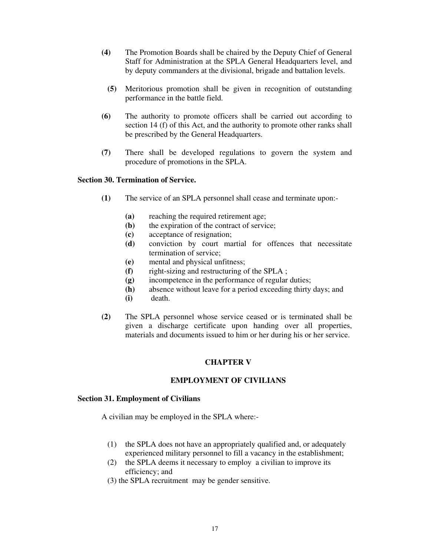- (4) The Promotion Boards shall be chaired by the Deputy Chief of General Staff for Administration at the SPLA General Headquarters level, and by deputy commanders at the divisional, brigade and battalion levels.
	- (5) Meritorious promotion shall be given in recognition of outstanding performance in the battle field.
- (6) The authority to promote officers shall be carried out according to section 14 (f) of this Act, and the authority to promote other ranks shall be prescribed by the General Headquarters.
- (7) There shall be developed regulations to govern the system and procedure of promotions in the SPLA.

### Section 30. Termination of Service.

- (1) The service of an SPLA personnel shall cease and terminate upon:-
	- (a) reaching the required retirement age;
	- (b) the expiration of the contract of service;
	- (c) acceptance of resignation;
	- (d) conviction by court martial for offences that necessitate termination of service;
	- (e) mental and physical unfitness;
	- (f) right-sizing and restructuring of the SPLA ;
	- (g) incompetence in the performance of regular duties;
	- (h) absence without leave for a period exceeding thirty days; and
	- (i) death.
- (2) The SPLA personnel whose service ceased or is terminated shall be given a discharge certificate upon handing over all properties, materials and documents issued to him or her during his or her service.

## CHAPTER V

## EMPLOYMENT OF CIVILIANS

#### Section 31. Employment of Civilians

A civilian may be employed in the SPLA where:-

- (1) the SPLA does not have an appropriately qualified and, or adequately experienced military personnel to fill a vacancy in the establishment;
- (2) the SPLA deems it necessary to employ a civilian to improve its efficiency; and
- (3) the SPLA recruitment may be gender sensitive.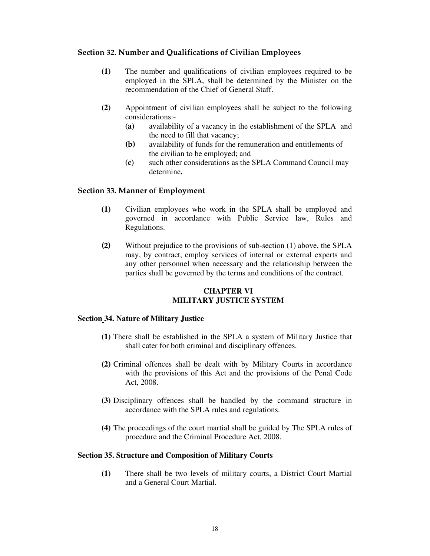# Section 32. Number and Qualifications of Civilian Employees

- (1) The number and qualifications of civilian employees required to be employed in the SPLA, shall be determined by the Minister on the recommendation of the Chief of General Staff.
- (2) Appointment of civilian employees shall be subject to the following considerations:-
	- (a) availability of a vacancy in the establishment of the SPLA and the need to fill that vacancy;
	- (b) availability of funds for the remuneration and entitlements of the civilian to be employed; and
	- (c) such other considerations as the SPLA Command Council may determine.

## Section 33. Manner of Employment

- (1) Civilian employees who work in the SPLA shall be employed and governed in accordance with Public Service law, Rules and Regulations.
- (2) Without prejudice to the provisions of sub-section (1) above, the SPLA may, by contract, employ services of internal or external experts and any other personnel when necessary and the relationship between the parties shall be governed by the terms and conditions of the contract.

### CHAPTER VI MILITARY JUSTICE SYSTEM

## Section 34. Nature of Military Justice

- (1) There shall be established in the SPLA a system of Military Justice that shall cater for both criminal and disciplinary offences.
- (2) Criminal offences shall be dealt with by Military Courts in accordance with the provisions of this Act and the provisions of the Penal Code Act, 2008.
- (3) Disciplinary offences shall be handled by the command structure in accordance with the SPLA rules and regulations.
- (4) The proceedings of the court martial shall be guided by The SPLA rules of procedure and the Criminal Procedure Act, 2008.

#### Section 35. Structure and Composition of Military Courts

(1) There shall be two levels of military courts, a District Court Martial and a General Court Martial.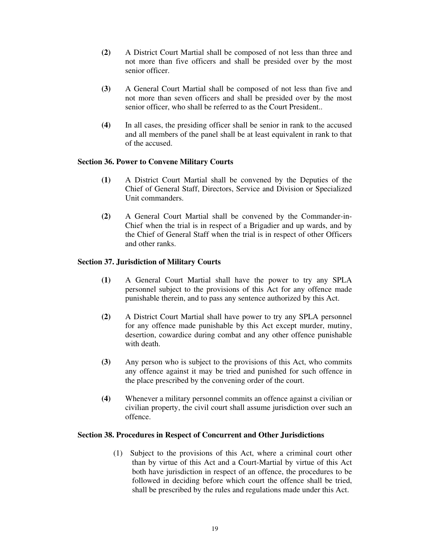- (2) A District Court Martial shall be composed of not less than three and not more than five officers and shall be presided over by the most senior officer.
- (3) A General Court Martial shall be composed of not less than five and not more than seven officers and shall be presided over by the most senior officer, who shall be referred to as the Court President..
- (4) In all cases, the presiding officer shall be senior in rank to the accused and all members of the panel shall be at least equivalent in rank to that of the accused.

## Section 36. Power to Convene Military Courts

- (1) A District Court Martial shall be convened by the Deputies of the Chief of General Staff, Directors, Service and Division or Specialized Unit commanders.
- (2) A General Court Martial shall be convened by the Commander-in-Chief when the trial is in respect of a Brigadier and up wards, and by the Chief of General Staff when the trial is in respect of other Officers and other ranks.

# Section 37. Jurisdiction of Military Courts

- (1) A General Court Martial shall have the power to try any SPLA personnel subject to the provisions of this Act for any offence made punishable therein, and to pass any sentence authorized by this Act.
- (2) A District Court Martial shall have power to try any SPLA personnel for any offence made punishable by this Act except murder, mutiny, desertion, cowardice during combat and any other offence punishable with death.
- (3) Any person who is subject to the provisions of this Act, who commits any offence against it may be tried and punished for such offence in the place prescribed by the convening order of the court.
- (4) Whenever a military personnel commits an offence against a civilian or civilian property, the civil court shall assume jurisdiction over such an offence.

## Section 38. Procedures in Respect of Concurrent and Other Jurisdictions

(1) Subject to the provisions of this Act, where a criminal court other than by virtue of this Act and a Court-Martial by virtue of this Act both have jurisdiction in respect of an offence, the procedures to be followed in deciding before which court the offence shall be tried, shall be prescribed by the rules and regulations made under this Act.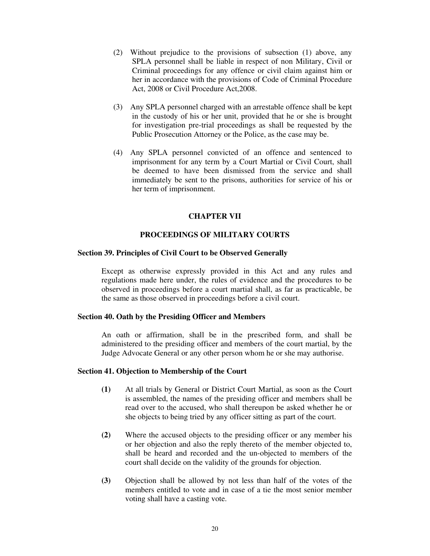- (2) Without prejudice to the provisions of subsection (1) above, any SPLA personnel shall be liable in respect of non Military, Civil or Criminal proceedings for any offence or civil claim against him or her in accordance with the provisions of Code of Criminal Procedure Act, 2008 or Civil Procedure Act,2008.
- (3) Any SPLA personnel charged with an arrestable offence shall be kept in the custody of his or her unit, provided that he or she is brought for investigation pre-trial proceedings as shall be requested by the Public Prosecution Attorney or the Police, as the case may be.
- (4) Any SPLA personnel convicted of an offence and sentenced to imprisonment for any term by a Court Martial or Civil Court, shall be deemed to have been dismissed from the service and shall immediately be sent to the prisons, authorities for service of his or her term of imprisonment.

## CHAPTER VII

### PROCEEDINGS OF MILITARY COURTS

#### Section 39. Principles of Civil Court to be Observed Generally

Except as otherwise expressly provided in this Act and any rules and regulations made here under, the rules of evidence and the procedures to be observed in proceedings before a court martial shall, as far as practicable, be the same as those observed in proceedings before a civil court.

#### Section 40. Oath by the Presiding Officer and Members

An oath or affirmation, shall be in the prescribed form, and shall be administered to the presiding officer and members of the court martial, by the Judge Advocate General or any other person whom he or she may authorise.

### Section 41. Objection to Membership of the Court

- (1) At all trials by General or District Court Martial, as soon as the Court is assembled, the names of the presiding officer and members shall be read over to the accused, who shall thereupon be asked whether he or she objects to being tried by any officer sitting as part of the court.
- (2) Where the accused objects to the presiding officer or any member his or her objection and also the reply thereto of the member objected to, shall be heard and recorded and the un-objected to members of the court shall decide on the validity of the grounds for objection.
- (3) Objection shall be allowed by not less than half of the votes of the members entitled to vote and in case of a tie the most senior member voting shall have a casting vote.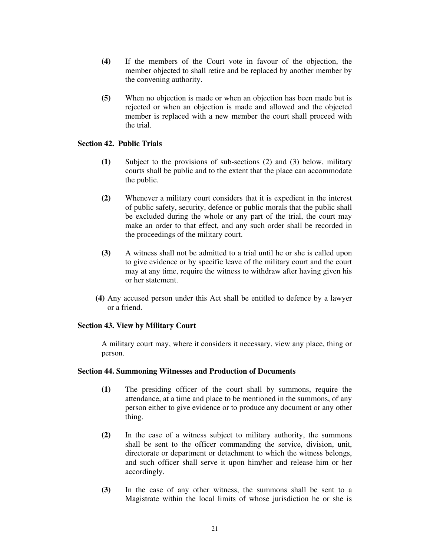- (4) If the members of the Court vote in favour of the objection, the member objected to shall retire and be replaced by another member by the convening authority.
- (5) When no objection is made or when an objection has been made but is rejected or when an objection is made and allowed and the objected member is replaced with a new member the court shall proceed with the trial.

# Section 42. Public Trials

- (1) Subject to the provisions of sub-sections (2) and (3) below, military courts shall be public and to the extent that the place can accommodate the public.
- (2) Whenever a military court considers that it is expedient in the interest of public safety, security, defence or public morals that the public shall be excluded during the whole or any part of the trial, the court may make an order to that effect, and any such order shall be recorded in the proceedings of the military court.
- (3) A witness shall not be admitted to a trial until he or she is called upon to give evidence or by specific leave of the military court and the court may at any time, require the witness to withdraw after having given his or her statement.
- (4) Any accused person under this Act shall be entitled to defence by a lawyer or a friend.

## Section 43. View by Military Court

A military court may, where it considers it necessary, view any place, thing or person.

## Section 44. Summoning Witnesses and Production of Documents

- (1) The presiding officer of the court shall by summons, require the attendance, at a time and place to be mentioned in the summons, of any person either to give evidence or to produce any document or any other thing.
- (2) In the case of a witness subject to military authority, the summons shall be sent to the officer commanding the service, division, unit, directorate or department or detachment to which the witness belongs, and such officer shall serve it upon him/her and release him or her accordingly.
- (3) In the case of any other witness, the summons shall be sent to a Magistrate within the local limits of whose jurisdiction he or she is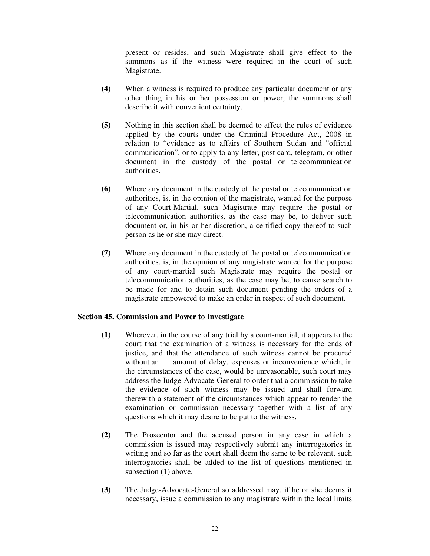present or resides, and such Magistrate shall give effect to the summons as if the witness were required in the court of such Magistrate.

- (4) When a witness is required to produce any particular document or any other thing in his or her possession or power, the summons shall describe it with convenient certainty.
- (5) Nothing in this section shall be deemed to affect the rules of evidence applied by the courts under the Criminal Procedure Act, 2008 in relation to "evidence as to affairs of Southern Sudan and "official communication", or to apply to any letter, post card, telegram, or other document in the custody of the postal or telecommunication authorities.
- (6) Where any document in the custody of the postal or telecommunication authorities, is, in the opinion of the magistrate, wanted for the purpose of any Court-Martial, such Magistrate may require the postal or telecommunication authorities, as the case may be, to deliver such document or, in his or her discretion, a certified copy thereof to such person as he or she may direct.
- (7) Where any document in the custody of the postal or telecommunication authorities, is, in the opinion of any magistrate wanted for the purpose of any court-martial such Magistrate may require the postal or telecommunication authorities, as the case may be, to cause search to be made for and to detain such document pending the orders of a magistrate empowered to make an order in respect of such document.

## Section 45. Commission and Power to Investigate

- (1) Wherever, in the course of any trial by a court-martial, it appears to the court that the examination of a witness is necessary for the ends of justice, and that the attendance of such witness cannot be procured without an amount of delay, expenses or inconvenience which, in the circumstances of the case, would be unreasonable, such court may address the Judge-Advocate-General to order that a commission to take the evidence of such witness may be issued and shall forward therewith a statement of the circumstances which appear to render the examination or commission necessary together with a list of any questions which it may desire to be put to the witness.
- (2) The Prosecutor and the accused person in any case in which a commission is issued may respectively submit any interrogatories in writing and so far as the court shall deem the same to be relevant, such interrogatories shall be added to the list of questions mentioned in subsection (1) above.
- (3) The Judge-Advocate-General so addressed may, if he or she deems it necessary, issue a commission to any magistrate within the local limits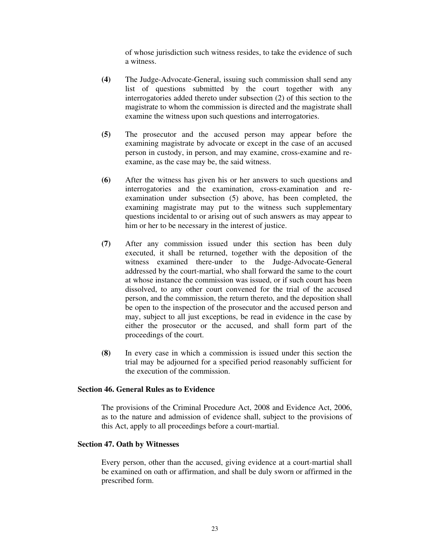of whose jurisdiction such witness resides, to take the evidence of such a witness.

- (4) The Judge-Advocate-General, issuing such commission shall send any list of questions submitted by the court together with any interrogatories added thereto under subsection (2) of this section to the magistrate to whom the commission is directed and the magistrate shall examine the witness upon such questions and interrogatories.
- (5) The prosecutor and the accused person may appear before the examining magistrate by advocate or except in the case of an accused person in custody, in person, and may examine, cross-examine and reexamine, as the case may be, the said witness.
- (6) After the witness has given his or her answers to such questions and interrogatories and the examination, cross-examination and reexamination under subsection (5) above, has been completed, the examining magistrate may put to the witness such supplementary questions incidental to or arising out of such answers as may appear to him or her to be necessary in the interest of justice.
- (7) After any commission issued under this section has been duly executed, it shall be returned, together with the deposition of the witness examined there-under to the Judge-Advocate-General addressed by the court-martial, who shall forward the same to the court at whose instance the commission was issued, or if such court has been dissolved, to any other court convened for the trial of the accused person, and the commission, the return thereto, and the deposition shall be open to the inspection of the prosecutor and the accused person and may, subject to all just exceptions, be read in evidence in the case by either the prosecutor or the accused, and shall form part of the proceedings of the court.
- (8) In every case in which a commission is issued under this section the trial may be adjourned for a specified period reasonably sufficient for the execution of the commission.

### Section 46. General Rules as to Evidence

The provisions of the Criminal Procedure Act, 2008 and Evidence Act, 2006, as to the nature and admission of evidence shall, subject to the provisions of this Act, apply to all proceedings before a court-martial.

#### Section 47. Oath by Witnesses

Every person, other than the accused, giving evidence at a court-martial shall be examined on oath or affirmation, and shall be duly sworn or affirmed in the prescribed form.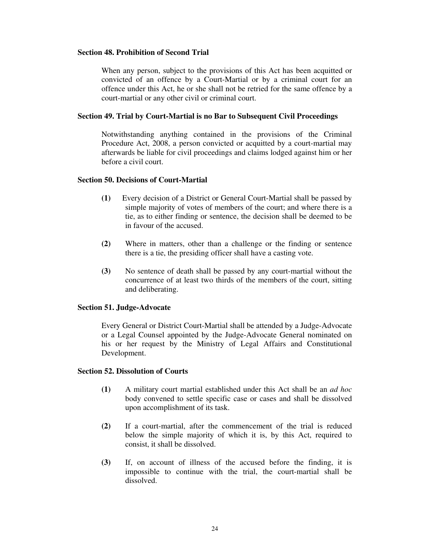### Section 48. Prohibition of Second Trial

When any person, subject to the provisions of this Act has been acquitted or convicted of an offence by a Court-Martial or by a criminal court for an offence under this Act, he or she shall not be retried for the same offence by a court-martial or any other civil or criminal court.

### Section 49. Trial by Court-Martial is no Bar to Subsequent Civil Proceedings

Notwithstanding anything contained in the provisions of the Criminal Procedure Act, 2008, a person convicted or acquitted by a court-martial may afterwards be liable for civil proceedings and claims lodged against him or her before a civil court.

#### Section 50. Decisions of Court-Martial

- (1) Every decision of a District or General Court-Martial shall be passed by simple majority of votes of members of the court; and where there is a tie, as to either finding or sentence, the decision shall be deemed to be in favour of the accused.
- (2) Where in matters, other than a challenge or the finding or sentence there is a tie, the presiding officer shall have a casting vote.
- (3) No sentence of death shall be passed by any court-martial without the concurrence of at least two thirds of the members of the court, sitting and deliberating.

### Section 51. Judge-Advocate

Every General or District Court-Martial shall be attended by a Judge-Advocate or a Legal Counsel appointed by the Judge-Advocate General nominated on his or her request by the Ministry of Legal Affairs and Constitutional Development.

### Section 52. Dissolution of Courts

- (1) A military court martial established under this Act shall be an ad hoc body convened to settle specific case or cases and shall be dissolved upon accomplishment of its task.
- (2) If a court-martial, after the commencement of the trial is reduced below the simple majority of which it is, by this Act, required to consist, it shall be dissolved.
- (3) If, on account of illness of the accused before the finding, it is impossible to continue with the trial, the court-martial shall be dissolved.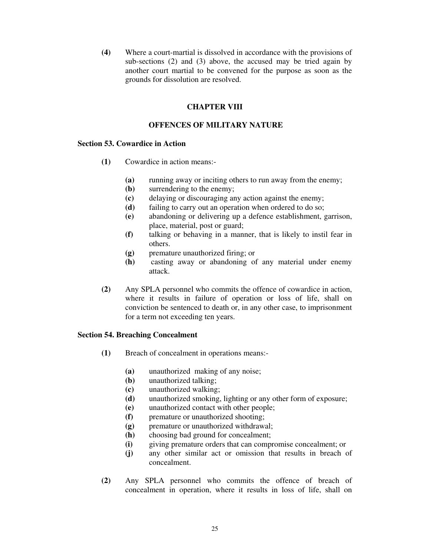(4) Where a court-martial is dissolved in accordance with the provisions of sub-sections (2) and (3) above, the accused may be tried again by another court martial to be convened for the purpose as soon as the grounds for dissolution are resolved.

### CHAPTER VIII

### OFFENCES OF MILITARY NATURE

### Section 53. Cowardice in Action

- (1) Cowardice in action means:-
	- (a) running away or inciting others to run away from the enemy;
	- (b) surrendering to the enemy;
	- (c) delaying or discouraging any action against the enemy;
	- (d) failing to carry out an operation when ordered to do so;
	- (e) abandoning or delivering up a defence establishment, garrison, place, material, post or guard;
	- (f) talking or behaving in a manner, that is likely to instil fear in others.
	- (g) premature unauthorized firing; or
	- (h) casting away or abandoning of any material under enemy attack.
- (2) Any SPLA personnel who commits the offence of cowardice in action, where it results in failure of operation or loss of life, shall on conviction be sentenced to death or, in any other case, to imprisonment for a term not exceeding ten years.

#### Section 54. Breaching Concealment

- (1) Breach of concealment in operations means:-
	- (a) unauthorized making of any noise;
	- (b) unauthorized talking;
	- (c) unauthorized walking;
	- (d) unauthorized smoking, lighting or any other form of exposure;
	- (e) unauthorized contact with other people;
	- (f) premature or unauthorized shooting;
	- (g) premature or unauthorized withdrawal;
	- (h) choosing bad ground for concealment;
	- (i) giving premature orders that can compromise concealment; or
	- (i) any other similar act or omission that results in breach of concealment.
- (2) Any SPLA personnel who commits the offence of breach of concealment in operation, where it results in loss of life, shall on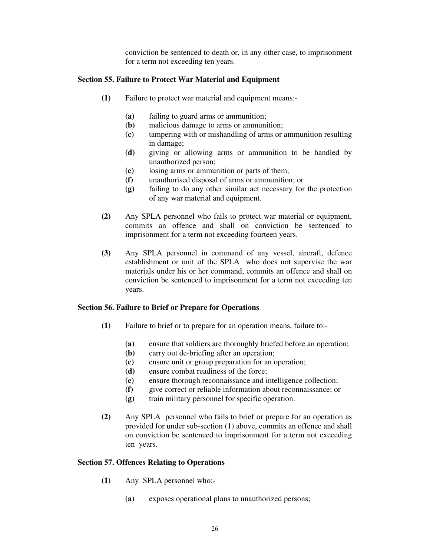conviction be sentenced to death or, in any other case, to imprisonment for a term not exceeding ten years.

## Section 55. Failure to Protect War Material and Equipment

- (1) Failure to protect war material and equipment means:-
	- (a) failing to guard arms or ammunition;
	- (b) malicious damage to arms or ammunition;
	- (c) tampering with or mishandling of arms or ammunition resulting in damage;
	- (d) giving or allowing arms or ammunition to be handled by unauthorized person;
	- (e) losing arms or ammunition or parts of them;
	- (f) unauthorised disposal of arms or ammunition; or
	- (g) failing to do any other similar act necessary for the protection of any war material and equipment.
- (2) Any SPLA personnel who fails to protect war material or equipment, commits an offence and shall on conviction be sentenced to imprisonment for a term not exceeding fourteen years.
- (3) Any SPLA personnel in command of any vessel, aircraft, defence establishment or unit of the SPLA who does not supervise the war materials under his or her command, commits an offence and shall on conviction be sentenced to imprisonment for a term not exceeding ten years.

#### Section 56. Failure to Brief or Prepare for Operations

- (1) Failure to brief or to prepare for an operation means, failure to:-
	- (a) ensure that soldiers are thoroughly briefed before an operation;
	- (b) carry out de-briefing after an operation;
	- (c) ensure unit or group preparation for an operation;
	- (d) ensure combat readiness of the force;
	- (e) ensure thorough reconnaissance and intelligence collection;
	- (f) give correct or reliable information about reconnaissance; or
	- (g) train military personnel for specific operation.
- (2) Any SPLA personnel who fails to brief or prepare for an operation as provided for under sub-section (1) above, commits an offence and shall on conviction be sentenced to imprisonment for a term not exceeding ten years.

#### Section 57. Offences Relating to Operations

- (1) Any SPLA personnel who:-
	- (a) exposes operational plans to unauthorized persons;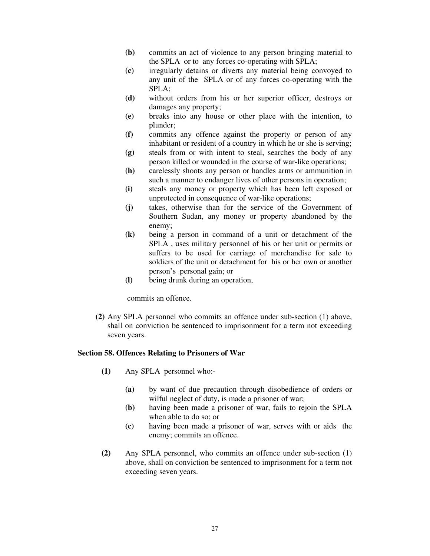- (b) commits an act of violence to any person bringing material to the SPLA or to any forces co-operating with SPLA;
- (c) irregularly detains or diverts any material being convoyed to any unit of the SPLA or of any forces co-operating with the SPLA;
- (d) without orders from his or her superior officer, destroys or damages any property;
- (e) breaks into any house or other place with the intention, to plunder;
- (f) commits any offence against the property or person of any inhabitant or resident of a country in which he or she is serving;
- (g) steals from or with intent to steal, searches the body of any person killed or wounded in the course of war-like operations;
- (h) carelessly shoots any person or handles arms or ammunition in such a manner to endanger lives of other persons in operation;
- (i) steals any money or property which has been left exposed or unprotected in consequence of war-like operations;
- (j) takes, otherwise than for the service of the Government of Southern Sudan, any money or property abandoned by the enemy;
- (k) being a person in command of a unit or detachment of the SPLA , uses military personnel of his or her unit or permits or suffers to be used for carriage of merchandise for sale to soldiers of the unit or detachment for his or her own or another person's personal gain; or
- (l) being drunk during an operation,

commits an offence.

(2) Any SPLA personnel who commits an offence under sub-section (1) above, shall on conviction be sentenced to imprisonment for a term not exceeding seven years.

#### Section 58. Offences Relating to Prisoners of War

- (1) Any SPLA personnel who:-
	- (a) by want of due precaution through disobedience of orders or wilful neglect of duty, is made a prisoner of war;
	- (b) having been made a prisoner of war, fails to rejoin the SPLA when able to do so; or
	- (c) having been made a prisoner of war, serves with or aids the enemy; commits an offence.
- (2) Any SPLA personnel, who commits an offence under sub-section (1) above, shall on conviction be sentenced to imprisonment for a term not exceeding seven years.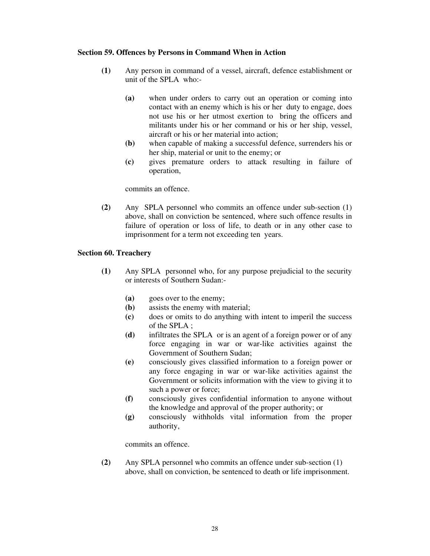# Section 59. Offences by Persons in Command When in Action

- (1) Any person in command of a vessel, aircraft, defence establishment or unit of the SPLA who:-
	- (a) when under orders to carry out an operation or coming into contact with an enemy which is his or her duty to engage, does not use his or her utmost exertion to bring the officers and militants under his or her command or his or her ship, vessel, aircraft or his or her material into action;
	- (b) when capable of making a successful defence, surrenders his or her ship, material or unit to the enemy; or
	- (c) gives premature orders to attack resulting in failure of operation,

commits an offence.

(2) Any SPLA personnel who commits an offence under sub-section (1) above, shall on conviction be sentenced, where such offence results in failure of operation or loss of life, to death or in any other case to imprisonment for a term not exceeding ten years.

# Section 60. Treachery

- (1) Any SPLA personnel who, for any purpose prejudicial to the security or interests of Southern Sudan:-
	- (a) goes over to the enemy;
	- (b) assists the enemy with material;
	- (c) does or omits to do anything with intent to imperil the success of the SPLA ;
	- (d) infiltrates the SPLA or is an agent of a foreign power or of any force engaging in war or war-like activities against the Government of Southern Sudan;
	- (e) consciously gives classified information to a foreign power or any force engaging in war or war-like activities against the Government or solicits information with the view to giving it to such a power or force;
	- (f) consciously gives confidential information to anyone without the knowledge and approval of the proper authority; or
	- (g) consciously withholds vital information from the proper authority,

commits an offence.

(2) Any SPLA personnel who commits an offence under sub-section (1) above, shall on conviction, be sentenced to death or life imprisonment.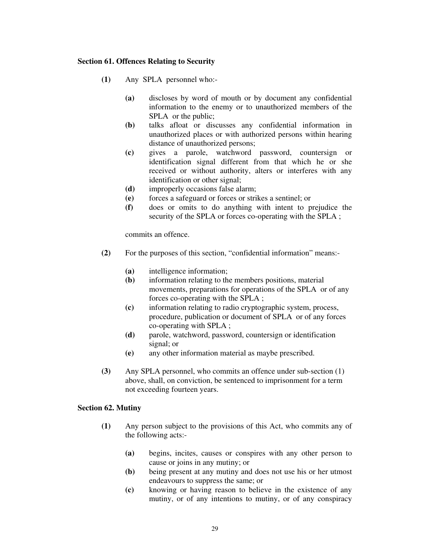# Section 61. Offences Relating to Security

- (1) Any SPLA personnel who:-
	- (a) discloses by word of mouth or by document any confidential information to the enemy or to unauthorized members of the SPLA or the public;
	- (b) talks afloat or discusses any confidential information in unauthorized places or with authorized persons within hearing distance of unauthorized persons;
	- (c) gives a parole, watchword password, countersign or identification signal different from that which he or she received or without authority, alters or interferes with any identification or other signal;
	- (d) improperly occasions false alarm;
	- (e) forces a safeguard or forces or strikes a sentinel; or
	- (f) does or omits to do anything with intent to prejudice the security of the SPLA or forces co-operating with the SPLA ;

commits an offence.

- (2) For the purposes of this section, "confidential information" means:-
	- (a) intelligence information;
	- (b) information relating to the members positions, material movements, preparations for operations of the SPLA or of any forces co-operating with the SPLA ;
	- (c) information relating to radio cryptographic system, process, procedure, publication or document of SPLA or of any forces co-operating with SPLA ;
	- (d) parole, watchword, password, countersign or identification signal; or
	- (e) any other information material as maybe prescribed.
- (3) Any SPLA personnel, who commits an offence under sub-section (1) above, shall, on conviction, be sentenced to imprisonment for a term not exceeding fourteen years.

## Section 62. Mutiny

- (1) Any person subject to the provisions of this Act, who commits any of the following acts:-
	- (a) begins, incites, causes or conspires with any other person to cause or joins in any mutiny; or
	- (b) being present at any mutiny and does not use his or her utmost endeavours to suppress the same; or
	- (c) knowing or having reason to believe in the existence of any mutiny, or of any intentions to mutiny, or of any conspiracy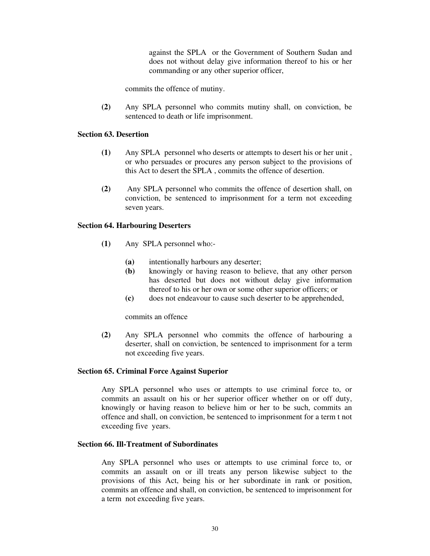against the SPLA or the Government of Southern Sudan and does not without delay give information thereof to his or her commanding or any other superior officer,

commits the offence of mutiny.

(2) Any SPLA personnel who commits mutiny shall, on conviction, be sentenced to death or life imprisonment.

### Section 63. Desertion

- (1) Any SPLA personnel who deserts or attempts to desert his or her unit , or who persuades or procures any person subject to the provisions of this Act to desert the SPLA , commits the offence of desertion.
- (2) Any SPLA personnel who commits the offence of desertion shall, on conviction, be sentenced to imprisonment for a term not exceeding seven years.

### Section 64. Harbouring Deserters

- (1) Any SPLA personnel who:-
	- (a) intentionally harbours any deserter;
	- (b) knowingly or having reason to believe, that any other person has deserted but does not without delay give information thereof to his or her own or some other superior officers; or
	- (c) does not endeavour to cause such deserter to be apprehended,

commits an offence

(2) Any SPLA personnel who commits the offence of harbouring a deserter, shall on conviction, be sentenced to imprisonment for a term not exceeding five years.

#### Section 65. Criminal Force Against Superior

Any SPLA personnel who uses or attempts to use criminal force to, or commits an assault on his or her superior officer whether on or off duty, knowingly or having reason to believe him or her to be such, commits an offence and shall, on conviction, be sentenced to imprisonment for a term t not exceeding five years.

### Section 66. Ill-Treatment of Subordinates

Any SPLA personnel who uses or attempts to use criminal force to, or commits an assault on or ill treats any person likewise subject to the provisions of this Act, being his or her subordinate in rank or position, commits an offence and shall, on conviction, be sentenced to imprisonment for a term not exceeding five years.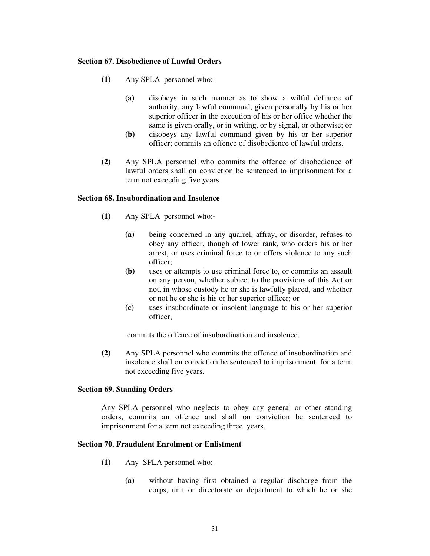# Section 67. Disobedience of Lawful Orders

- (1) Any SPLA personnel who:-
	- (a) disobeys in such manner as to show a wilful defiance of authority, any lawful command, given personally by his or her superior officer in the execution of his or her office whether the same is given orally, or in writing, or by signal, or otherwise; or
	- (b) disobeys any lawful command given by his or her superior officer; commits an offence of disobedience of lawful orders.
- (2) Any SPLA personnel who commits the offence of disobedience of lawful orders shall on conviction be sentenced to imprisonment for a term not exceeding five years.

### Section 68. Insubordination and Insolence

- (1) Any SPLA personnel who:-
	- (a) being concerned in any quarrel, affray, or disorder, refuses to obey any officer, though of lower rank, who orders his or her arrest, or uses criminal force to or offers violence to any such officer;
	- (b) uses or attempts to use criminal force to, or commits an assault on any person, whether subject to the provisions of this Act or not, in whose custody he or she is lawfully placed, and whether or not he or she is his or her superior officer; or
	- (c) uses insubordinate or insolent language to his or her superior officer,

commits the offence of insubordination and insolence.

(2) Any SPLA personnel who commits the offence of insubordination and insolence shall on conviction be sentenced to imprisonment for a term not exceeding five years.

# Section 69. Standing Orders

Any SPLA personnel who neglects to obey any general or other standing orders, commits an offence and shall on conviction be sentenced to imprisonment for a term not exceeding three years.

### Section 70. Fraudulent Enrolment or Enlistment

- (1) Any SPLA personnel who:-
	- (a) without having first obtained a regular discharge from the corps, unit or directorate or department to which he or she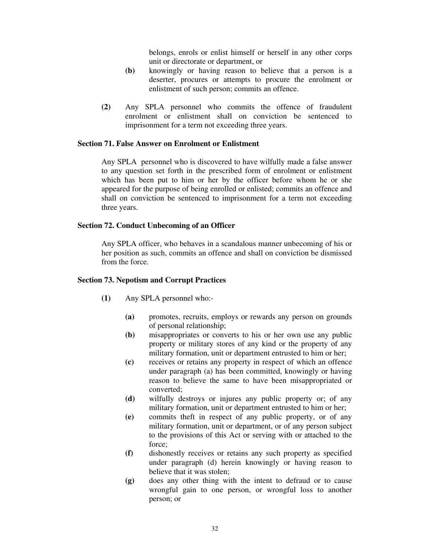belongs, enrols or enlist himself or herself in any other corps unit or directorate or department, or

- (b) knowingly or having reason to believe that a person is a deserter, procures or attempts to procure the enrolment or enlistment of such person; commits an offence.
- (2) Any SPLA personnel who commits the offence of fraudulent enrolment or enlistment shall on conviction be sentenced to imprisonment for a term not exceeding three years.

### Section 71. False Answer on Enrolment or Enlistment

Any SPLA personnel who is discovered to have wilfully made a false answer to any question set forth in the prescribed form of enrolment or enlistment which has been put to him or her by the officer before whom he or she appeared for the purpose of being enrolled or enlisted; commits an offence and shall on conviction be sentenced to imprisonment for a term not exceeding three years.

### Section 72. Conduct Unbecoming of an Officer

Any SPLA officer, who behaves in a scandalous manner unbecoming of his or her position as such, commits an offence and shall on conviction be dismissed from the force.

#### Section 73. Nepotism and Corrupt Practices

- (1) Any SPLA personnel who:-
	- (a) promotes, recruits, employs or rewards any person on grounds of personal relationship;
	- (b) misappropriates or converts to his or her own use any public property or military stores of any kind or the property of any military formation, unit or department entrusted to him or her;
	- (c) receives or retains any property in respect of which an offence under paragraph (a) has been committed, knowingly or having reason to believe the same to have been misappropriated or converted;
	- (d) wilfully destroys or injures any public property or; of any military formation, unit or department entrusted to him or her;
	- (e) commits theft in respect of any public property, or of any military formation, unit or department, or of any person subject to the provisions of this Act or serving with or attached to the force;
	- (f) dishonestly receives or retains any such property as specified under paragraph (d) herein knowingly or having reason to believe that it was stolen;
	- (g) does any other thing with the intent to defraud or to cause wrongful gain to one person, or wrongful loss to another person; or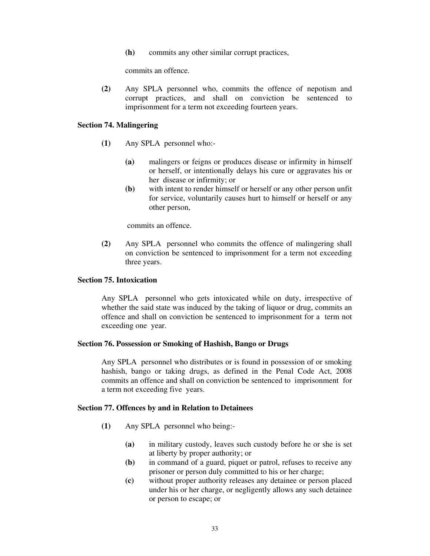(h) commits any other similar corrupt practices,

commits an offence.

(2) Any SPLA personnel who, commits the offence of nepotism and corrupt practices, and shall on conviction be sentenced to imprisonment for a term not exceeding fourteen years.

#### Section 74. Malingering

- (1) Any SPLA personnel who:-
	- (a) malingers or feigns or produces disease or infirmity in himself or herself, or intentionally delays his cure or aggravates his or her disease or infirmity; or
	- (b) with intent to render himself or herself or any other person unfit for service, voluntarily causes hurt to himself or herself or any other person,

commits an offence.

(2) Any SPLA personnel who commits the offence of malingering shall on conviction be sentenced to imprisonment for a term not exceeding three years.

#### Section 75. Intoxication

Any SPLA personnel who gets intoxicated while on duty, irrespective of whether the said state was induced by the taking of liquor or drug, commits an offence and shall on conviction be sentenced to imprisonment for a term not exceeding one year.

#### Section 76. Possession or Smoking of Hashish, Bango or Drugs

Any SPLA personnel who distributes or is found in possession of or smoking hashish, bango or taking drugs, as defined in the Penal Code Act, 2008 commits an offence and shall on conviction be sentenced to imprisonment for a term not exceeding five years.

#### Section 77. Offences by and in Relation to Detainees

- (1) Any SPLA personnel who being:-
	- (a) in military custody, leaves such custody before he or she is set at liberty by proper authority; or
	- (b) in command of a guard, piquet or patrol, refuses to receive any prisoner or person duly committed to his or her charge;
	- (c) without proper authority releases any detainee or person placed under his or her charge, or negligently allows any such detainee or person to escape; or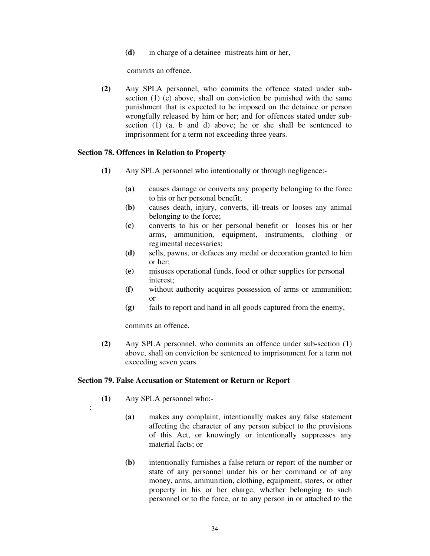(d) in charge of a detainee mistreats him or her,

commits an offence.

(2) Any SPLA personnel, who commits the offence stated under subsection (1) (c) above, shall on conviction be punished with the same punishment that is expected to be imposed on the detainee or person wrongfully released by him or her; and for offences stated under subsection (1) (a, b and d) above; he or she shall be sentenced to imprisonment for a term not exceeding three years.

## Section 78. Offences in Relation to Property

- (1) Any SPLA personnel who intentionally or through negligence:-
	- (a) causes damage or converts any property belonging to the force to his or her personal benefit;
	- (b) causes death, injury, converts, ill-treats or looses any animal belonging to the force;
	- (c) converts to his or her personal benefit or looses his or her arms, ammunition, equipment, instruments, clothing or regimental necessaries;
	- (d) sells, pawns, or defaces any medal or decoration granted to him or her;
	- (e) misuses operational funds, food or other supplies for personal interest;
	- (f) without authority acquires possession of arms or ammunition; or
	- (g) fails to report and hand in all goods captured from the enemy,

commits an offence.

(2) Any SPLA personnel, who commits an offence under sub-section (1) above, shall on conviction be sentenced to imprisonment for a term not exceeding seven years.

### Section 79. False Accusation or Statement or Return or Report

(1) Any SPLA personnel who:-

:

- (a) makes any complaint, intentionally makes any false statement affecting the character of any person subject to the provisions of this Act, or knowingly or intentionally suppresses any material facts; or
- (b) intentionally furnishes a false return or report of the number or state of any personnel under his or her command or of any money, arms, ammunition, clothing, equipment, stores, or other property in his or her charge, whether belonging to such personnel or to the force, or to any person in or attached to the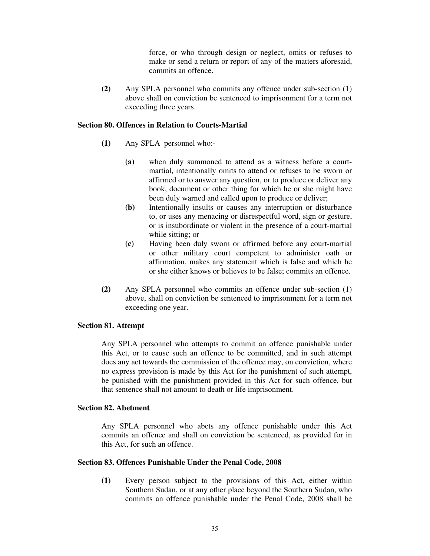force, or who through design or neglect, omits or refuses to make or send a return or report of any of the matters aforesaid, commits an offence.

(2) Any SPLA personnel who commits any offence under sub-section (1) above shall on conviction be sentenced to imprisonment for a term not exceeding three years.

### Section 80. Offences in Relation to Courts-Martial

- (1) Any SPLA personnel who:-
	- (a) when duly summoned to attend as a witness before a courtmartial, intentionally omits to attend or refuses to be sworn or affirmed or to answer any question, or to produce or deliver any book, document or other thing for which he or she might have been duly warned and called upon to produce or deliver;
	- (b) Intentionally insults or causes any interruption or disturbance to, or uses any menacing or disrespectful word, sign or gesture, or is insubordinate or violent in the presence of a court-martial while sitting; or
	- (c) Having been duly sworn or affirmed before any court-martial or other military court competent to administer oath or affirmation, makes any statement which is false and which he or she either knows or believes to be false; commits an offence.
- (2) Any SPLA personnel who commits an offence under sub-section (1) above, shall on conviction be sentenced to imprisonment for a term not exceeding one year.

### Section 81. Attempt

Any SPLA personnel who attempts to commit an offence punishable under this Act, or to cause such an offence to be committed, and in such attempt does any act towards the commission of the offence may, on conviction, where no express provision is made by this Act for the punishment of such attempt, be punished with the punishment provided in this Act for such offence, but that sentence shall not amount to death or life imprisonment.

### Section 82. Abetment

Any SPLA personnel who abets any offence punishable under this Act commits an offence and shall on conviction be sentenced, as provided for in this Act, for such an offence.

#### Section 83. Offences Punishable Under the Penal Code, 2008

(1) Every person subject to the provisions of this Act, either within Southern Sudan, or at any other place beyond the Southern Sudan, who commits an offence punishable under the Penal Code, 2008 shall be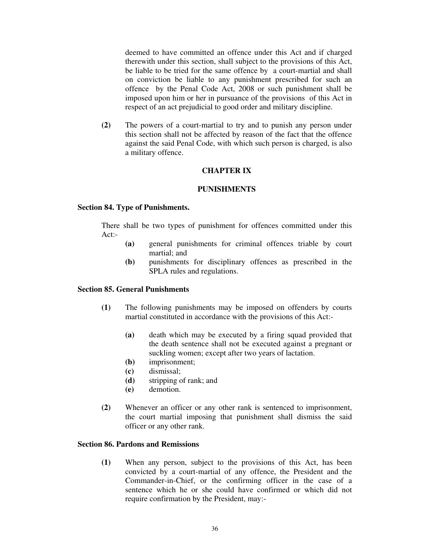deemed to have committed an offence under this Act and if charged therewith under this section, shall subject to the provisions of this Act, be liable to be tried for the same offence by a court-martial and shall on conviction be liable to any punishment prescribed for such an offence by the Penal Code Act, 2008 or such punishment shall be imposed upon him or her in pursuance of the provisions of this Act in respect of an act prejudicial to good order and military discipline.

(2) The powers of a court-martial to try and to punish any person under this section shall not be affected by reason of the fact that the offence against the said Penal Code, with which such person is charged, is also a military offence.

## CHAPTER IX

### PUNISHMENTS

#### Section 84. Type of Punishments.

There shall be two types of punishment for offences committed under this Act:-

- (a) general punishments for criminal offences triable by court martial; and
- (b) punishments for disciplinary offences as prescribed in the SPLA rules and regulations.

#### Section 85. General Punishments

- (1) The following punishments may be imposed on offenders by courts martial constituted in accordance with the provisions of this Act:-
	- (a) death which may be executed by a firing squad provided that the death sentence shall not be executed against a pregnant or suckling women; except after two years of lactation.
	- (b) imprisonment;
	- (c) dismissal;
	- (d) stripping of rank; and
	- (e) demotion.
- (2) Whenever an officer or any other rank is sentenced to imprisonment, the court martial imposing that punishment shall dismiss the said officer or any other rank.

### Section 86. Pardons and Remissions

(1) When any person, subject to the provisions of this Act, has been convicted by a court-martial of any offence, the President and the Commander-in-Chief, or the confirming officer in the case of a sentence which he or she could have confirmed or which did not require confirmation by the President, may:-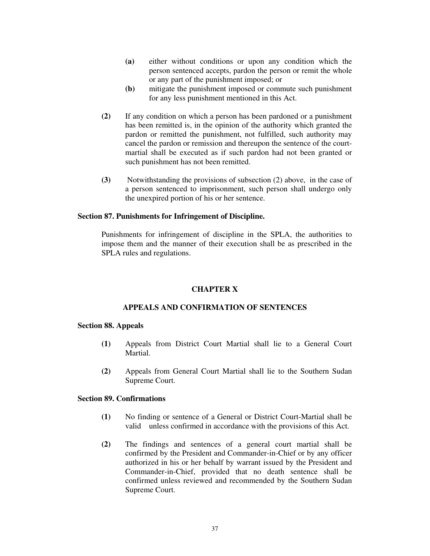- (a) either without conditions or upon any condition which the person sentenced accepts, pardon the person or remit the whole or any part of the punishment imposed; or
- (b) mitigate the punishment imposed or commute such punishment for any less punishment mentioned in this Act.
- (2) If any condition on which a person has been pardoned or a punishment has been remitted is, in the opinion of the authority which granted the pardon or remitted the punishment, not fulfilled, such authority may cancel the pardon or remission and thereupon the sentence of the courtmartial shall be executed as if such pardon had not been granted or such punishment has not been remitted.
- (3) Notwithstanding the provisions of subsection (2) above, in the case of a person sentenced to imprisonment, such person shall undergo only the unexpired portion of his or her sentence.

### Section 87. Punishments for Infringement of Discipline.

Punishments for infringement of discipline in the SPLA, the authorities to impose them and the manner of their execution shall be as prescribed in the SPLA rules and regulations.

### CHAPTER X

#### APPEALS AND CONFIRMATION OF SENTENCES

#### Section 88. Appeals

- (1) Appeals from District Court Martial shall lie to a General Court Martial.
- (2) Appeals from General Court Martial shall lie to the Southern Sudan Supreme Court.

#### Section 89. Confirmations

- (1) No finding or sentence of a General or District Court-Martial shall be valid unless confirmed in accordance with the provisions of this Act.
- (2) The findings and sentences of a general court martial shall be confirmed by the President and Commander-in-Chief or by any officer authorized in his or her behalf by warrant issued by the President and Commander-in-Chief, provided that no death sentence shall be confirmed unless reviewed and recommended by the Southern Sudan Supreme Court.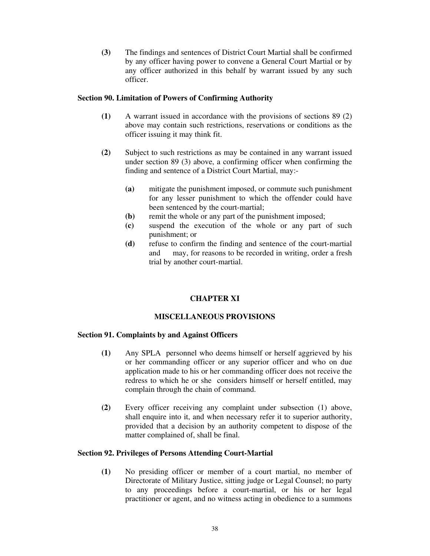(3) The findings and sentences of District Court Martial shall be confirmed by any officer having power to convene a General Court Martial or by any officer authorized in this behalf by warrant issued by any such officer.

## Section 90. Limitation of Powers of Confirming Authority

- (1) A warrant issued in accordance with the provisions of sections 89 (2) above may contain such restrictions, reservations or conditions as the officer issuing it may think fit.
- (2) Subject to such restrictions as may be contained in any warrant issued under section 89 (3) above, a confirming officer when confirming the finding and sentence of a District Court Martial, may:-
	- (a) mitigate the punishment imposed, or commute such punishment for any lesser punishment to which the offender could have been sentenced by the court-martial;
	- (b) remit the whole or any part of the punishment imposed;
	- (c) suspend the execution of the whole or any part of such punishment; or
	- (d) refuse to confirm the finding and sentence of the court-martial and may, for reasons to be recorded in writing, order a fresh trial by another court-martial.

# CHAPTER XI

## MISCELLANEOUS PROVISIONS

## Section 91. Complaints by and Against Officers

- (1) Any SPLA personnel who deems himself or herself aggrieved by his or her commanding officer or any superior officer and who on due application made to his or her commanding officer does not receive the redress to which he or she considers himself or herself entitled, may complain through the chain of command.
- (2) Every officer receiving any complaint under subsection (1) above, shall enquire into it, and when necessary refer it to superior authority, provided that a decision by an authority competent to dispose of the matter complained of, shall be final.

## Section 92. Privileges of Persons Attending Court-Martial

(1) No presiding officer or member of a court martial, no member of Directorate of Military Justice, sitting judge or Legal Counsel; no party to any proceedings before a court-martial, or his or her legal practitioner or agent, and no witness acting in obedience to a summons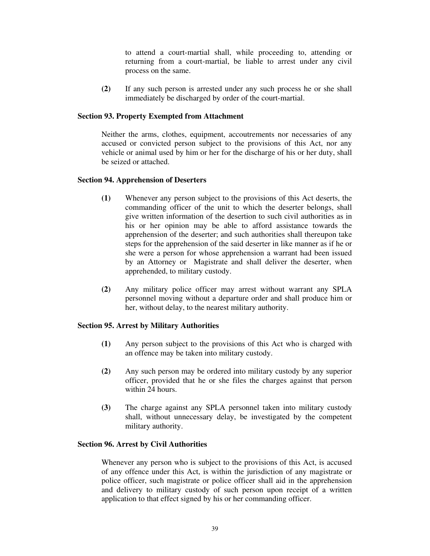to attend a court-martial shall, while proceeding to, attending or returning from a court-martial, be liable to arrest under any civil process on the same.

(2) If any such person is arrested under any such process he or she shall immediately be discharged by order of the court-martial.

### Section 93. Property Exempted from Attachment

Neither the arms, clothes, equipment, accoutrements nor necessaries of any accused or convicted person subject to the provisions of this Act, nor any vehicle or animal used by him or her for the discharge of his or her duty, shall be seized or attached.

#### Section 94. Apprehension of Deserters

- (1) Whenever any person subject to the provisions of this Act deserts, the commanding officer of the unit to which the deserter belongs, shall give written information of the desertion to such civil authorities as in his or her opinion may be able to afford assistance towards the apprehension of the deserter; and such authorities shall thereupon take steps for the apprehension of the said deserter in like manner as if he or she were a person for whose apprehension a warrant had been issued by an Attorney or Magistrate and shall deliver the deserter, when apprehended, to military custody.
- (2) Any military police officer may arrest without warrant any SPLA personnel moving without a departure order and shall produce him or her, without delay, to the nearest military authority.

#### Section 95. Arrest by Military Authorities

- (1) Any person subject to the provisions of this Act who is charged with an offence may be taken into military custody.
- (2) Any such person may be ordered into military custody by any superior officer, provided that he or she files the charges against that person within 24 hours.
- (3) The charge against any SPLA personnel taken into military custody shall, without unnecessary delay, be investigated by the competent military authority.

#### Section 96. Arrest by Civil Authorities

Whenever any person who is subject to the provisions of this Act, is accused of any offence under this Act, is within the jurisdiction of any magistrate or police officer, such magistrate or police officer shall aid in the apprehension and delivery to military custody of such person upon receipt of a written application to that effect signed by his or her commanding officer.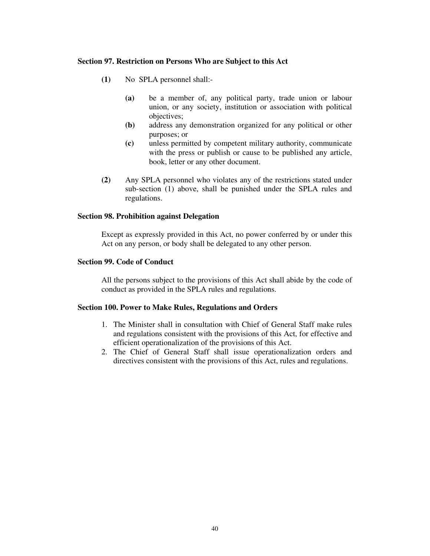### Section 97. Restriction on Persons Who are Subject to this Act

- (1) No SPLA personnel shall:-
	- (a) be a member of, any political party, trade union or labour union, or any society, institution or association with political objectives;
	- (b) address any demonstration organized for any political or other purposes; or
	- (c) unless permitted by competent military authority, communicate with the press or publish or cause to be published any article, book, letter or any other document.
- (2) Any SPLA personnel who violates any of the restrictions stated under sub-section (1) above, shall be punished under the SPLA rules and regulations.

### Section 98. Prohibition against Delegation

Except as expressly provided in this Act, no power conferred by or under this Act on any person, or body shall be delegated to any other person.

### Section 99. Code of Conduct

All the persons subject to the provisions of this Act shall abide by the code of conduct as provided in the SPLA rules and regulations.

#### Section 100. Power to Make Rules, Regulations and Orders

- 1. The Minister shall in consultation with Chief of General Staff make rules and regulations consistent with the provisions of this Act, for effective and efficient operationalization of the provisions of this Act.
- 2. The Chief of General Staff shall issue operationalization orders and directives consistent with the provisions of this Act, rules and regulations.